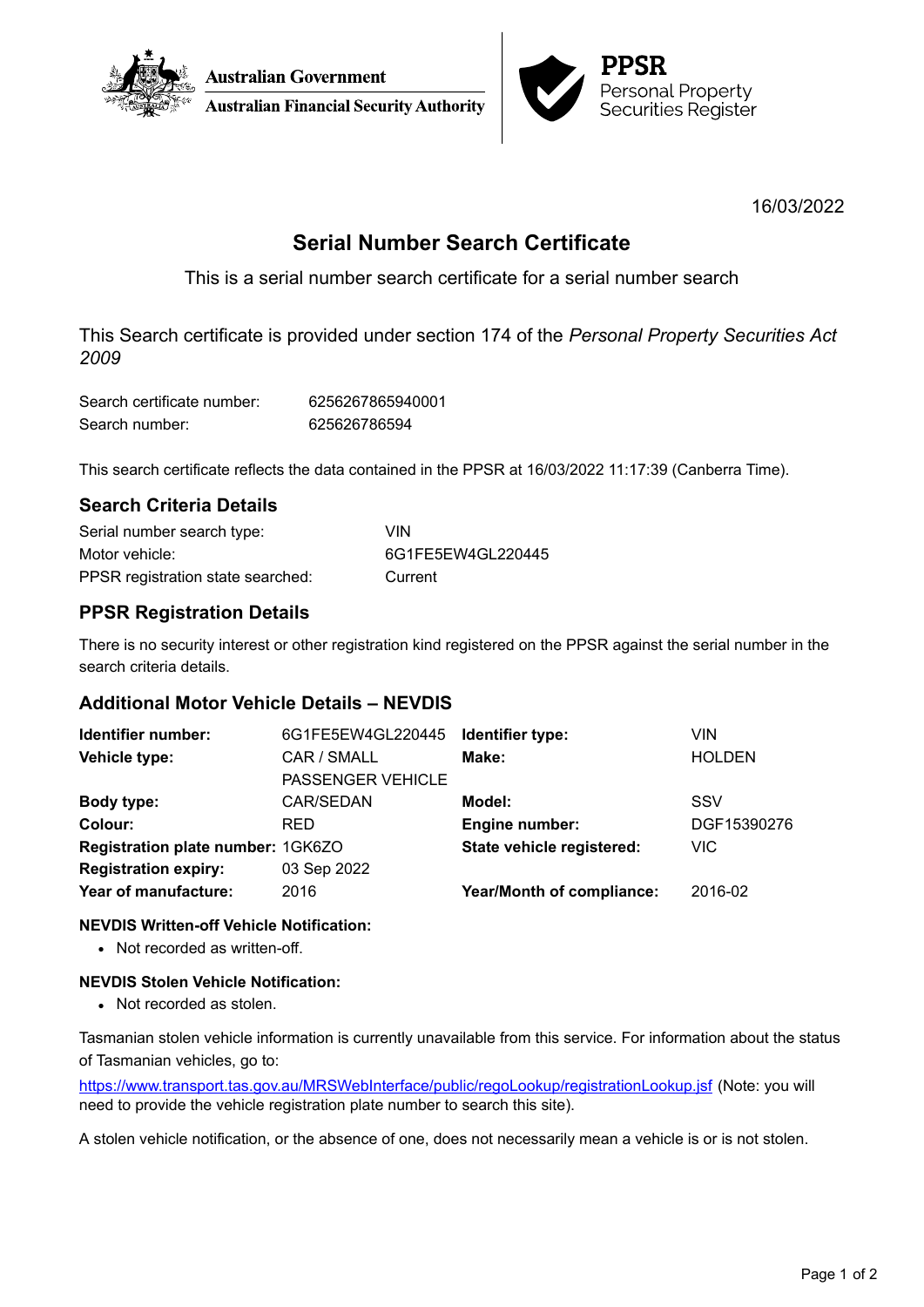



16/03/2022

# **Serial Number Search Certificate**

This is a serial number search certificate for a serial number search

This Search certificate is provided under section 174 of the *Personal Property Securities Act 2009*

| Search certificate number: | 6256267865940001 |
|----------------------------|------------------|
| Search number:             | 625626786594     |

This search certificate reflects the data contained in the PPSR at 16/03/2022 11:17:39 (Canberra Time).

## **Search Criteria Details**

| Serial number search type:        | VIN               |
|-----------------------------------|-------------------|
| Motor vehicle:                    | 6G1FE5EW4GL220445 |
| PPSR registration state searched: | Current           |

## **PPSR Registration Details**

There is no security interest or other registration kind registered on the PPSR against the serial number in the search criteria details.

## **Additional Motor Vehicle Details – NEVDIS**

| Identifier number:                | 6G1FE5EW4GL220445 | Identifier type:                 | VIN           |
|-----------------------------------|-------------------|----------------------------------|---------------|
| Vehicle type:                     | CAR / SMALL       | Make:                            | <b>HOLDEN</b> |
|                                   | PASSENGER VEHICLE |                                  |               |
| Body type:                        | CAR/SEDAN         | Model:                           | <b>SSV</b>    |
| Colour:                           | <b>RED</b>        | Engine number:                   | DGF15390276   |
| Registration plate number: 1GK6ZO |                   | State vehicle registered:        | <b>VIC</b>    |
| <b>Registration expiry:</b>       | 03 Sep 2022       |                                  |               |
| Year of manufacture:              | 2016              | <b>Year/Month of compliance:</b> | 2016-02       |
|                                   |                   |                                  |               |

### **NEVDIS Written-off Vehicle Notification:**

• Not recorded as written-off.

### **NEVDIS Stolen Vehicle Notification:**

• Not recorded as stolen.

Tasmanian stolen vehicle information is currently unavailable from this service. For information about the status of Tasmanian vehicles, go to:

<https://www.transport.tas.gov.au/MRSWebInterface/public/regoLookup/registrationLookup.jsf> (Note: you will need to provide the vehicle registration plate number to search this site).

A stolen vehicle notification, or the absence of one, does not necessarily mean a vehicle is or is not stolen.